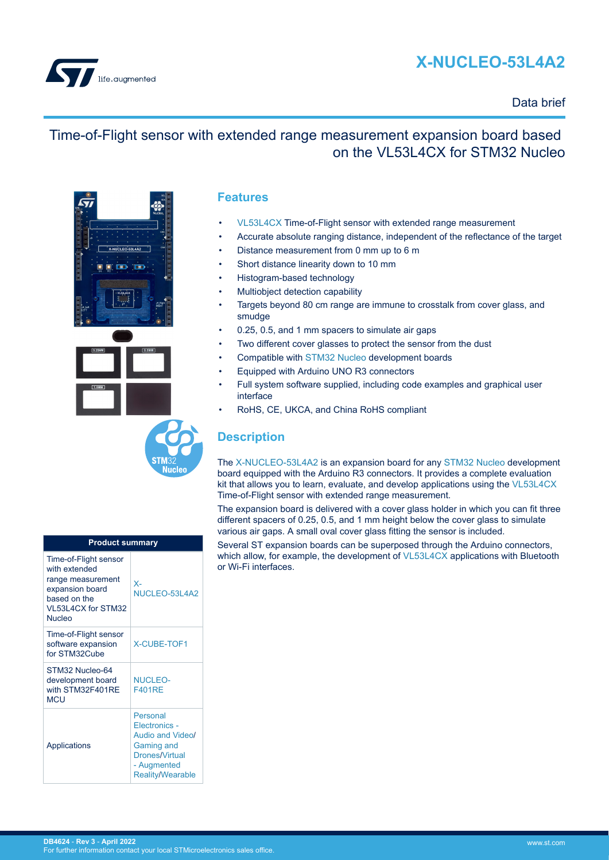# **X-NUCLEO-53L4A2**



#### Data brief

### Time-of-Flight sensor with extended range measurement expansion board based on the VL53L4CX for STM32 Nucleo



| <b>Product summary</b>                                                                                                         |                                                                                                                         |  |
|--------------------------------------------------------------------------------------------------------------------------------|-------------------------------------------------------------------------------------------------------------------------|--|
| Time-of-Flight sensor<br>with extended<br>range measurement<br>expansion board<br>based on the<br>VL53L4CX for STM32<br>Nucleo | $X -$<br>NUCLEO-53L4A2                                                                                                  |  |
| Time-of-Flight sensor<br>software expansion<br>for STM32Cube                                                                   | <b>X-CUBE-TOF1</b>                                                                                                      |  |
| STM32 Nucleo-64<br>development board<br>with STM32F401RE<br><b>MCU</b>                                                         | NUCLEO-<br><b>F401RF</b>                                                                                                |  |
| Applications                                                                                                                   | Personal<br>Electronics -<br>Audio and Video/<br>Gaming and<br>Drones/Virtual<br>- Augmented<br><b>Reality/Wearable</b> |  |

#### **Features**

- [VL53L4CX](https://www.st.com/en/product/vl53l4cx?ecmp=tt9470_gl_link_feb2019&rt=db&id=DB4624) Time-of-Flight sensor with extended range measurement
- Accurate absolute ranging distance, independent of the reflectance of the target
- Distance measurement from 0 mm up to 6 m
- Short distance linearity down to 10 mm
- Histogram-based technology
- Multiobject detection capability
- Targets beyond 80 cm range are immune to crosstalk from cover glass, and smudge
- 0.25, 0.5, and 1 mm spacers to simulate air gaps
- Two different cover glasses to protect the sensor from the dust
- Compatible with [STM32 Nucleo](https://www.st.com/stm32nucleo) development boards
	- Equipped with Arduino UNO R3 connectors
	- Full system software supplied, including code examples and graphical user interface
- RoHS, CE, UKCA, and China RoHS compliant

### **Description**

The [X-NUCLEO-53L4A2](https://www.st.com/en/product/X-NUCLEO-53L4A2?ecmp=tt9470_gl_link_feb2019&rt=db&id=DB4624) is an expansion board for any [STM32 Nucleo](https://www.st.com/stm32nucleo) development board equipped with the Arduino R3 connectors. It provides a complete evaluation kit that allows you to learn, evaluate, and develop applications using the [VL53L4CX](https://www.st.com/en/product/vl53l4cx?ecmp=tt9470_gl_link_feb2019&rt=db&id=DB4624) Time-of-Flight sensor with extended range measurement.

The expansion board is delivered with a cover glass holder in which you can fit three different spacers of 0.25, 0.5, and 1 mm height below the cover glass to simulate various air gaps. A small oval cover glass fitting the sensor is included.

Several ST expansion boards can be superposed through the Arduino connectors, which allow, for example, the development of [VL53L4CX](https://www.st.com/en/product/vl53l4cx?ecmp=tt9470_gl_link_feb2019&rt=db&id=DB4624) applications with Bluetooth or Wi-Fi interfaces.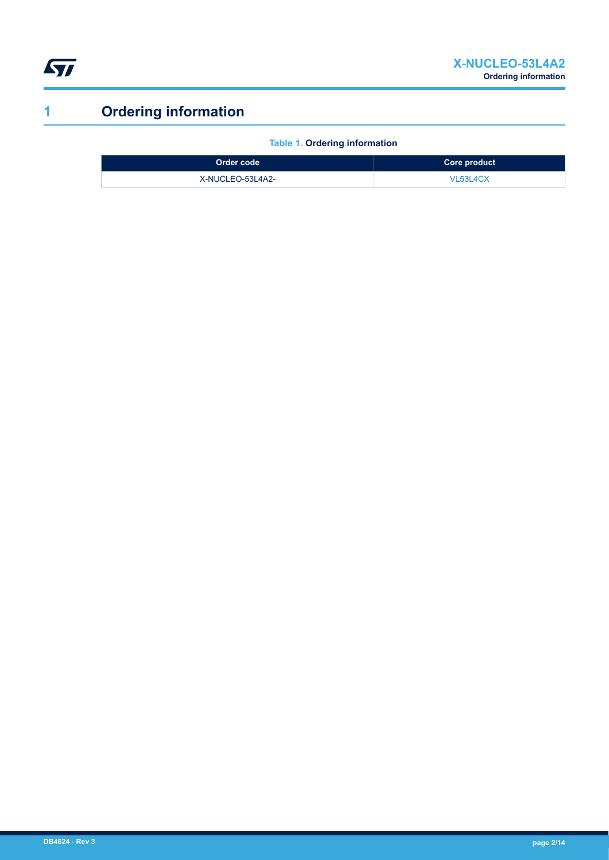<span id="page-1-0"></span>

# **1 Ordering information**

**Table 1. Ordering information**

| Order code       | Core product |
|------------------|--------------|
| X-NUCLEO-53L4A2- | VL53L4CX     |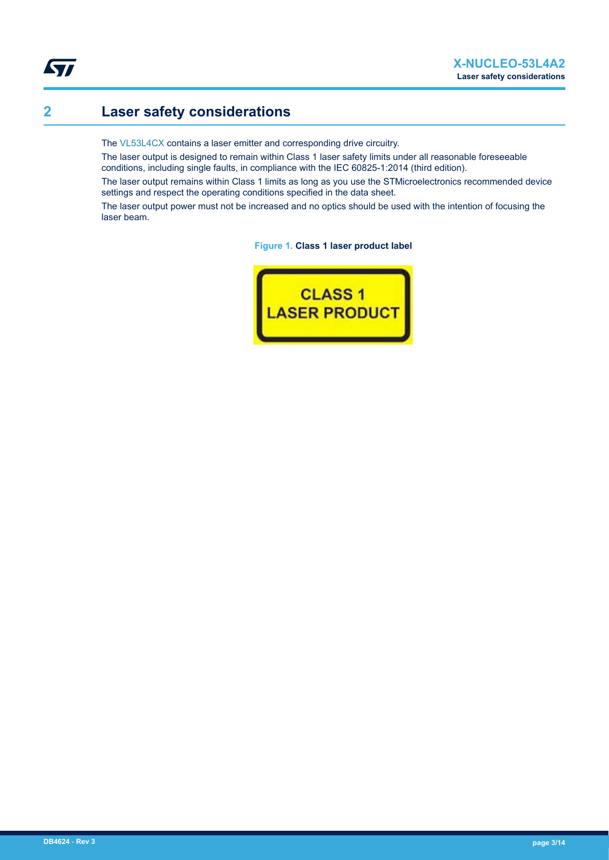# **2 Laser safety considerations**

The [VL53L4CX](https://www.st.com/en/product/vl53l4cx?ecmp=tt9470_gl_link_feb2019&rt=db&id=DB4624) contains a laser emitter and corresponding drive circuitry.

The laser output is designed to remain within Class 1 laser safety limits under all reasonable foreseeable conditions, including single faults, in compliance with the IEC 60825-1:2014 (third edition).

The laser output remains within Class 1 limits as long as you use the STMicroelectronics recommended device settings and respect the operating conditions specified in the data sheet.

The laser output power must not be increased and no optics should be used with the intention of focusing the laser beam.

**Figure 1. Class 1 laser product label**

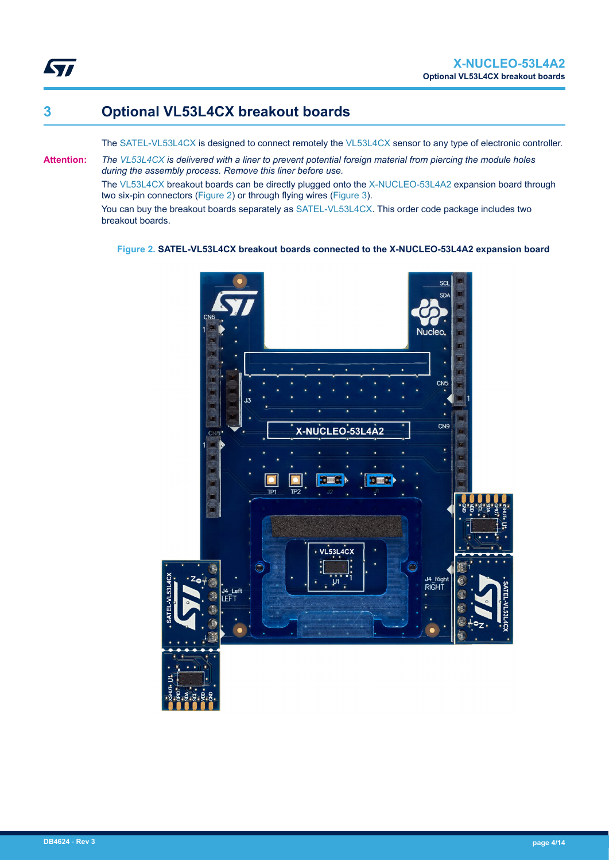### **3 Optional VL53L4CX breakout boards**

ST

The [SATEL-VL53L4CX](https://www.st.com/en/product/SATEL-VL53L4CX?ecmp=tt9470_gl_link_feb2019&rt=db&id=DB4624) is designed to connect remotely the [VL53L4CX](https://www.st.com/en/product/vl53l4cx?ecmp=tt9470_gl_link_feb2019&rt=db&id=DB4624) sensor to any type of electronic controller.

**Attention:** *The [VL53L4CX](https://www.st.com/en/product/vl53l4cx?ecmp=tt9470_gl_link_feb2019&rt=db&id=DB4624) is delivered with a liner to prevent potential foreign material from piercing the module holes during the assembly process. Remove this liner before use.*

The [VL53L4CX](https://www.st.com/en/product/vl53l4cx?ecmp=tt9470_gl_link_feb2019&rt=db&id=DB4624) breakout boards can be directly plugged onto the [X-NUCLEO-53L4A2](https://www.st.com/en/product/X-NUCLEO-53L4A2?ecmp=tt9470_gl_link_feb2019&rt=db&id=DB4624) expansion board through two six-pin connectors (Figure 2) or through flying wires ([Figure 3\)](#page-4-0).

You can buy the breakout boards separately as [SATEL-VL53L4CX.](https://www.st.com/en/product/SATEL-VL53L4CX?ecmp=tt9470_gl_link_feb2019&rt=db&id=DB4624) This order code package includes two breakout boards.

#### **Figure 2. SATEL-VL53L4CX breakout boards connected to the X-NUCLEO-53L4A2 expansion board**

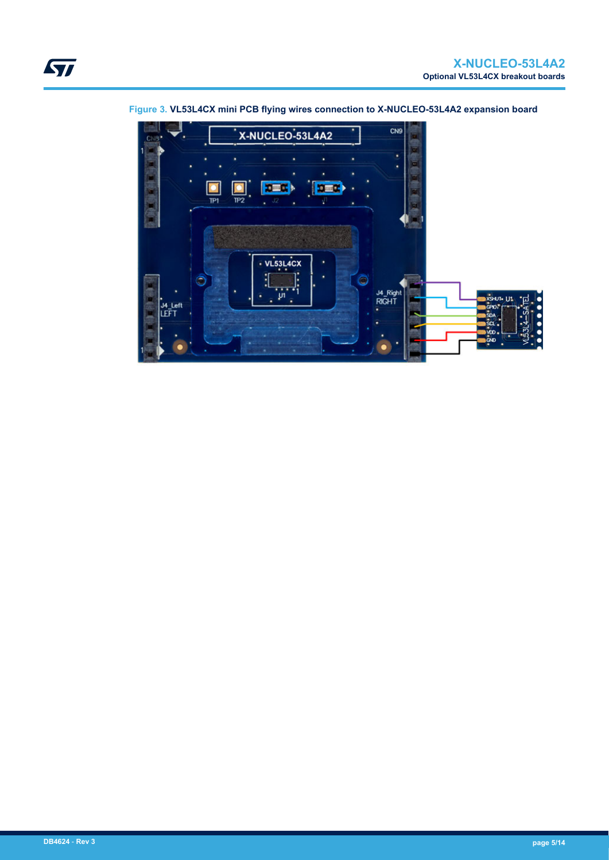

<span id="page-4-0"></span>**Figure 3. VL53L4CX mini PCB flying wires connection to X-NUCLEO-53L4A2 expansion board**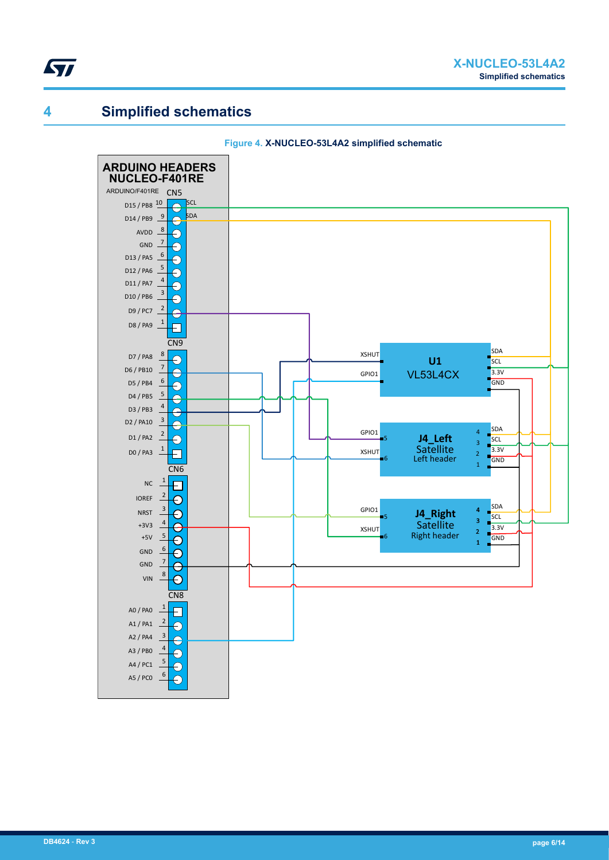

### **4 Simplified schematics**



#### **Figure 4. X-NUCLEO-53L4A2 simplified schematic**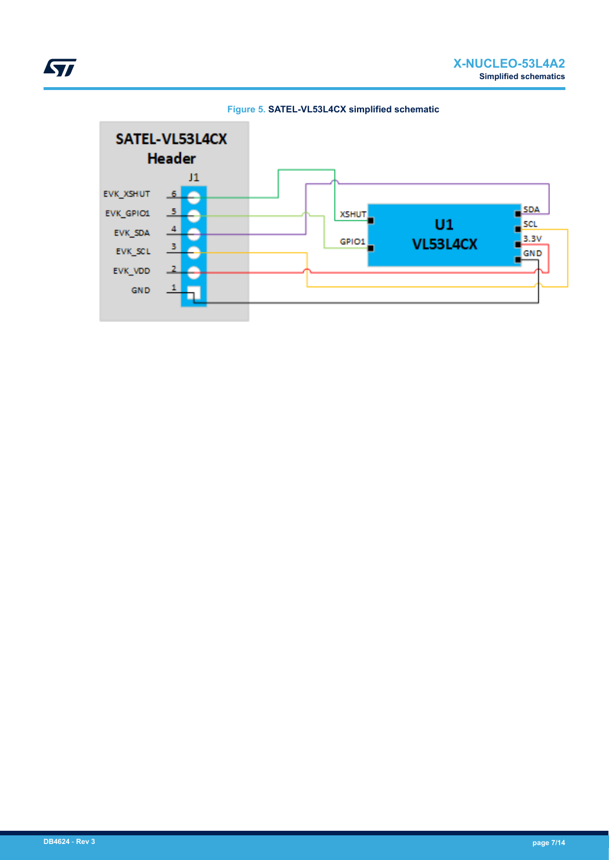

**Figure 5. SATEL-VL53L4CX simplified schematic**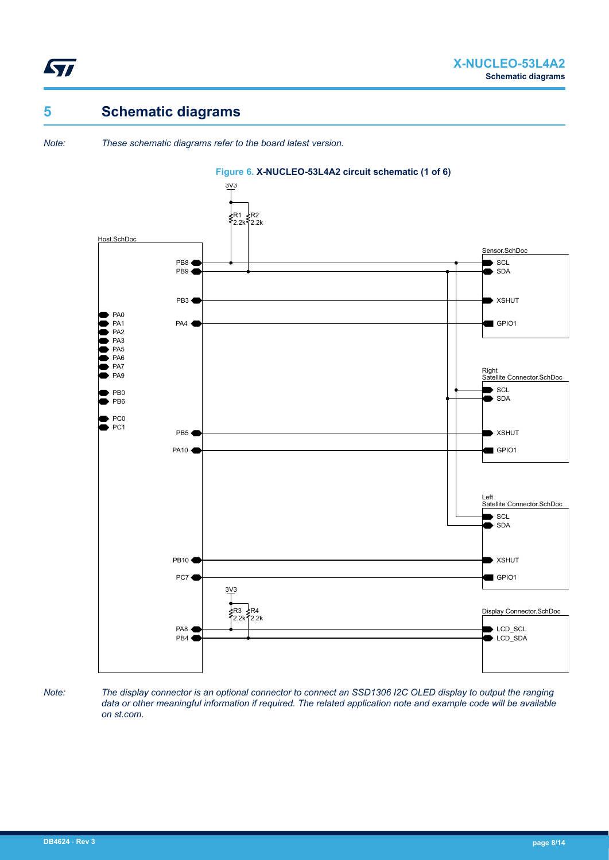

# **5 Schematic diagrams**

*Note: These schematic diagrams refer to the board latest version.*



#### **Figure 6. X-NUCLEO-53L4A2 circuit schematic (1 of 6)**

*Note: The display connector is an optional connector to connect an SSD1306 I2C OLED display to output the ranging data or other meaningful information if required. The related application note and example code will be available on st.com.*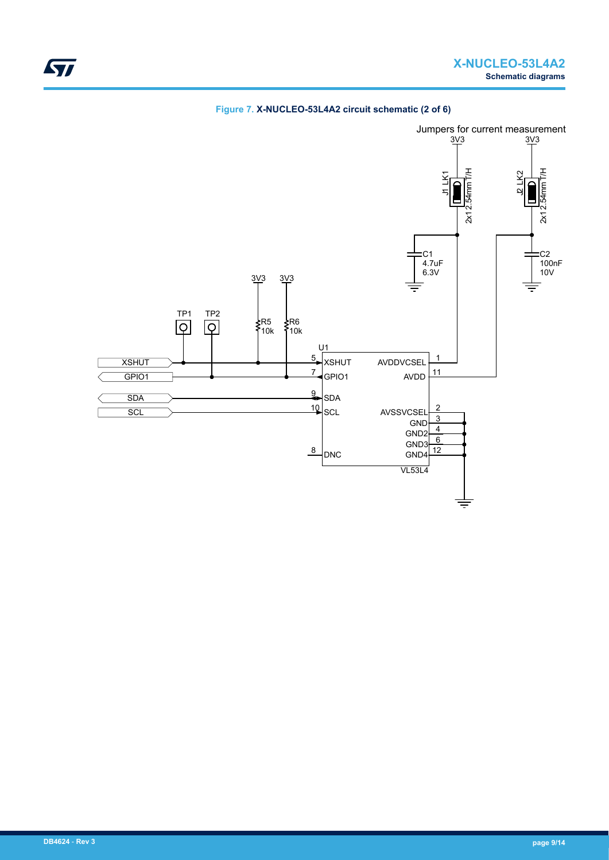

#### **Figure 7. X-NUCLEO-53L4A2 circuit schematic (2 of 6)**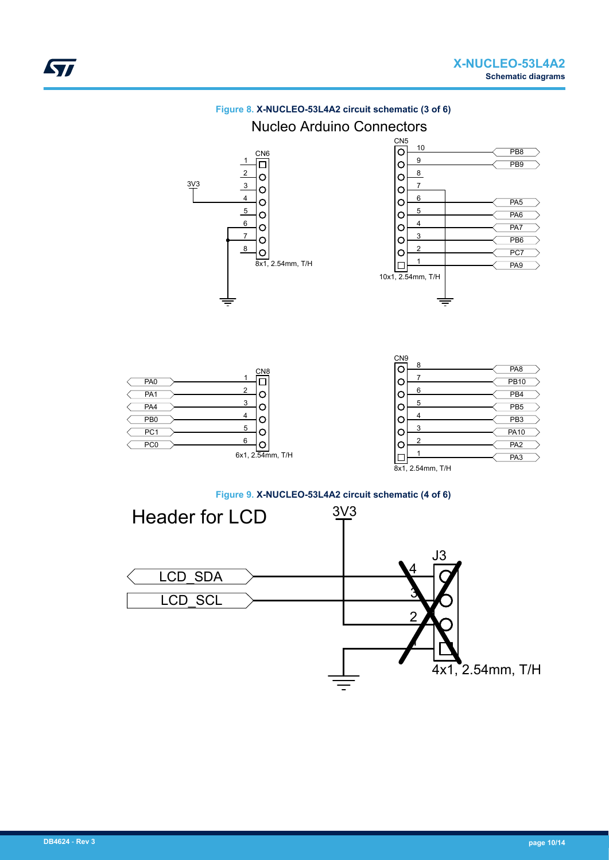

### **Figure 8. X-NUCLEO-53L4A2 circuit schematic (3 of 6)** Nucleo Arduino Connectors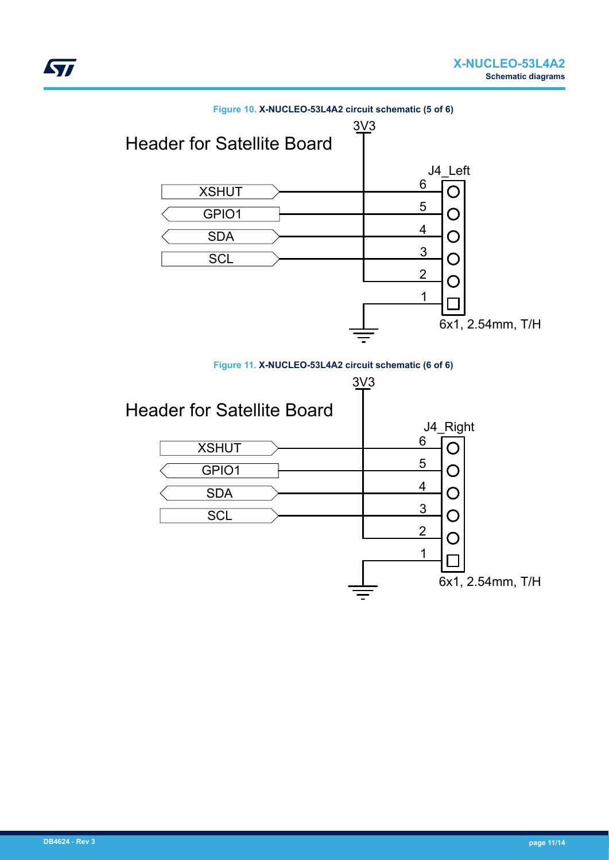

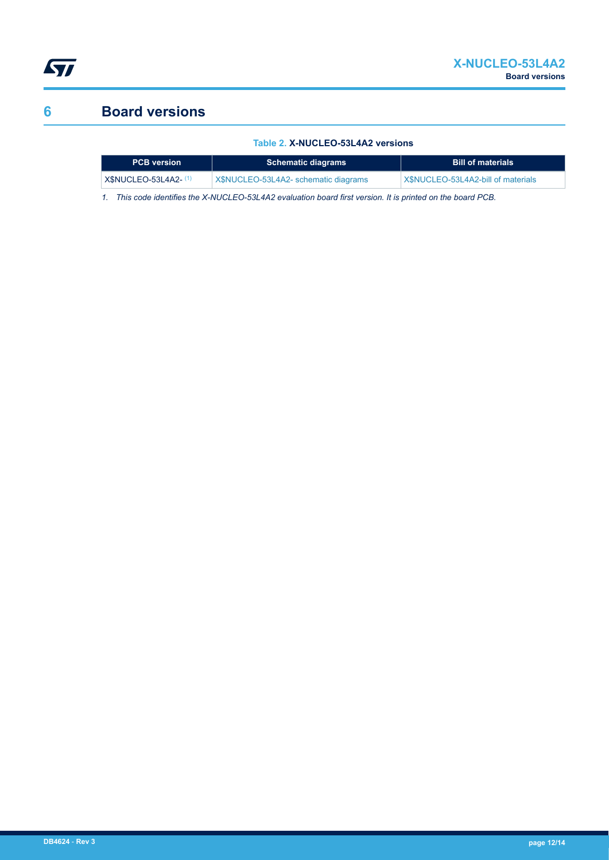

# **6 Board versions**

#### **Table 2. X-NUCLEO-53L4A2 versions**

| <b>PCB</b> version           | <b>Schematic diagrams</b>            | <b>Bill of materials</b>           |
|------------------------------|--------------------------------------|------------------------------------|
| <b>X\$NUCLEO-53L4A2- (1)</b> | X\$NUCLEO-53L4A2- schematic diagrams | X\$NUCLEO-53L4A2-bill of materials |

*1. This code identifies the X-NUCLEO-53L4A2 evaluation board first version. It is printed on the board PCB.*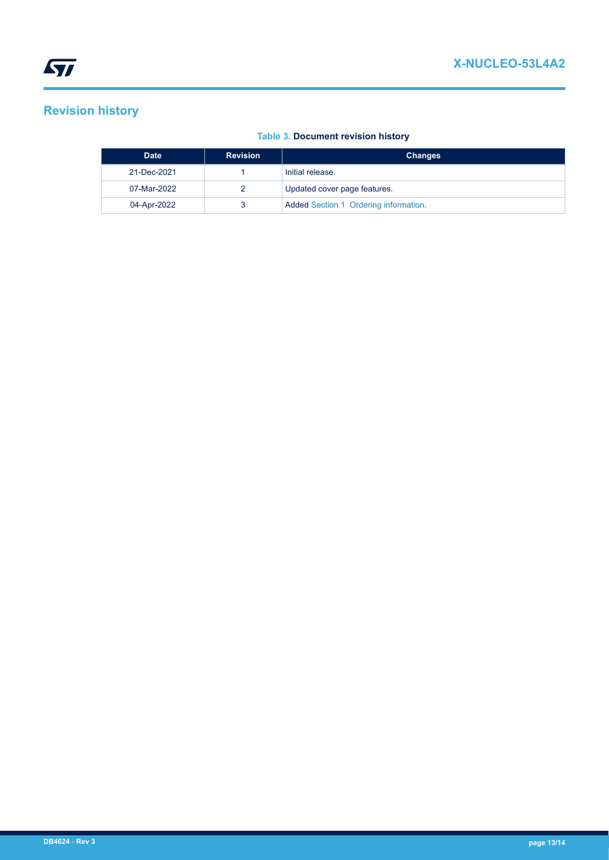# **Revision history**

#### **Table 3. Document revision history**

| <b>Date</b> | <b>Revision</b> | <b>Changes</b>                        |
|-------------|-----------------|---------------------------------------|
| 21-Dec-2021 |                 | Initial release.                      |
| 07-Mar-2022 |                 | Updated cover page features.          |
| 04-Apr-2022 |                 | Added Section 1 Ordering information. |